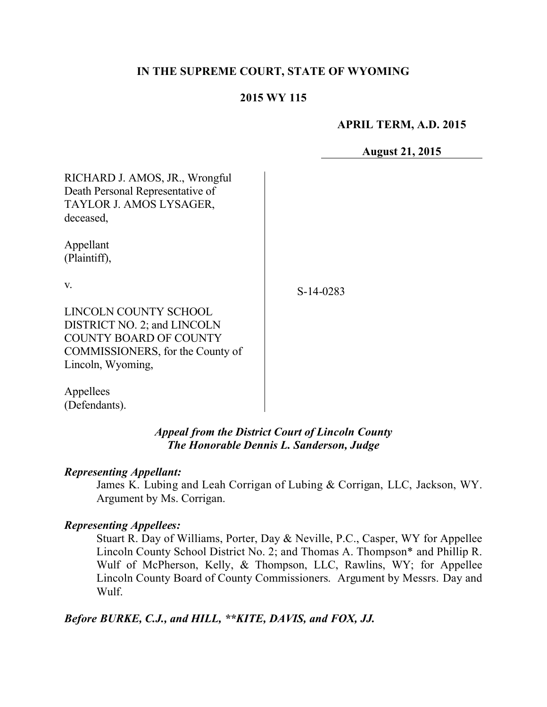# **IN THE SUPREME COURT, STATE OF WYOMING**

### **2015 WY 115**

**APRIL TERM, A.D. 2015**

**August 21, 2015**

| RICHARD J. AMOS, JR., Wrongful   |           |
|----------------------------------|-----------|
| Death Personal Representative of |           |
| TAYLOR J. AMOS LYSAGER,          |           |
| deceased,                        |           |
| Appellant                        |           |
| (Plaintiff),                     |           |
| V.                               | S-14-0283 |
| <b>LINCOLN COUNTY SCHOOL</b>     |           |
| DISTRICT NO. 2; and LINCOLN      |           |
| <b>COUNTY BOARD OF COUNTY</b>    |           |
| COMMISSIONERS, for the County of |           |
| Lincoln, Wyoming,                |           |
| Appellees                        |           |

*Appeal from the District Court of Lincoln County The Honorable Dennis L. Sanderson, Judge*

#### *Representing Appellant:*

(Defendants).

James K. Lubing and Leah Corrigan of Lubing & Corrigan, LLC, Jackson, WY. Argument by Ms. Corrigan.

# *Representing Appellees:*

Stuart R. Day of Williams, Porter, Day & Neville, P.C., Casper, WY for Appellee Lincoln County School District No. 2; and Thomas A. Thompson\* and Phillip R. Wulf of McPherson, Kelly, & Thompson, LLC, Rawlins, WY; for Appellee Lincoln County Board of County Commissioners. Argument by Messrs. Day and Wulf.

*Before BURKE, C.J., and HILL, \*\*KITE, DAVIS, and FOX, JJ.*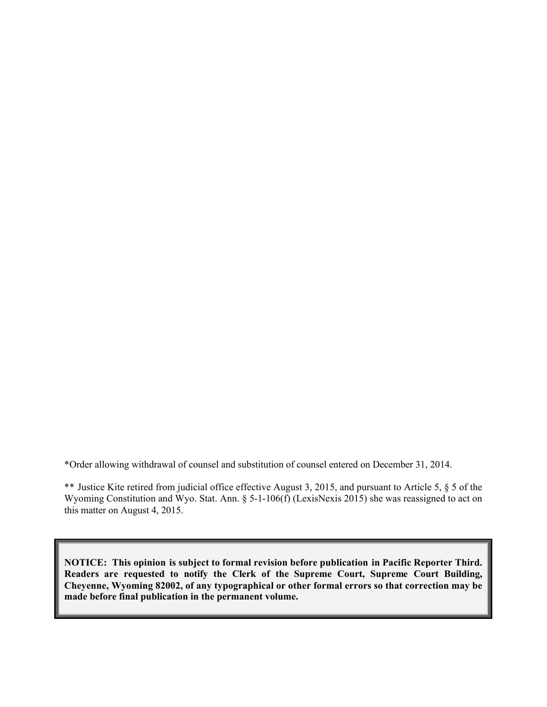\*Order allowing withdrawal of counsel and substitution of counsel entered on December 31, 2014.

\*\* Justice Kite retired from judicial office effective August 3, 2015, and pursuant to Article 5, § 5 of the Wyoming Constitution and Wyo. Stat. Ann. § 5-1-106(f) (LexisNexis 2015) she was reassigned to act on this matter on August 4, 2015.

**NOTICE: This opinion is subject to formal revision before publication in Pacific Reporter Third. Readers are requested to notify the Clerk of the Supreme Court, Supreme Court Building, Cheyenne, Wyoming 82002, of any typographical or other formal errors so that correction may be made before final publication in the permanent volume.**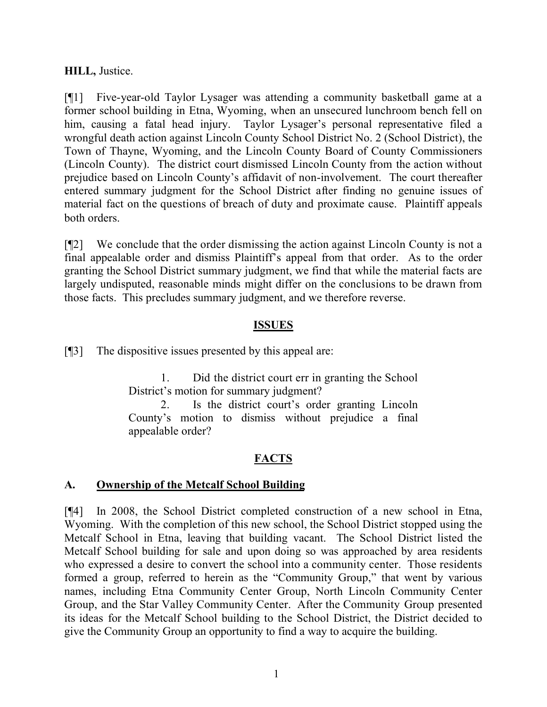# **HILL,** Justice.

[¶1] Five-year-old Taylor Lysager was attending a community basketball game at a former school building in Etna, Wyoming, when an unsecured lunchroom bench fell on him, causing a fatal head injury. Taylor Lysager's personal representative filed a wrongful death action against Lincoln County School District No. 2 (School District), the Town of Thayne, Wyoming, and the Lincoln County Board of County Commissioners (Lincoln County). The district court dismissed Lincoln County from the action without prejudice based on Lincoln County's affidavit of non-involvement. The court thereafter entered summary judgment for the School District after finding no genuine issues of material fact on the questions of breach of duty and proximate cause. Plaintiff appeals both orders.

[¶2] We conclude that the order dismissing the action against Lincoln County is not a final appealable order and dismiss Plaintiff's appeal from that order. As to the order granting the School District summary judgment, we find that while the material facts are largely undisputed, reasonable minds might differ on the conclusions to be drawn from those facts. This precludes summary judgment, and we therefore reverse.

### **ISSUES**

[¶3] The dispositive issues presented by this appeal are:

1. Did the district court err in granting the School District's motion for summary judgment?

2. Is the district court's order granting Lincoln County's motion to dismiss without prejudice a final appealable order?

# **FACTS**

# **A. Ownership of the Metcalf School Building**

[¶4] In 2008, the School District completed construction of a new school in Etna, Wyoming. With the completion of this new school, the School District stopped using the Metcalf School in Etna, leaving that building vacant. The School District listed the Metcalf School building for sale and upon doing so was approached by area residents who expressed a desire to convert the school into a community center. Those residents formed a group, referred to herein as the "Community Group," that went by various names, including Etna Community Center Group, North Lincoln Community Center Group, and the Star Valley Community Center. After the Community Group presented its ideas for the Metcalf School building to the School District, the District decided to give the Community Group an opportunity to find a way to acquire the building.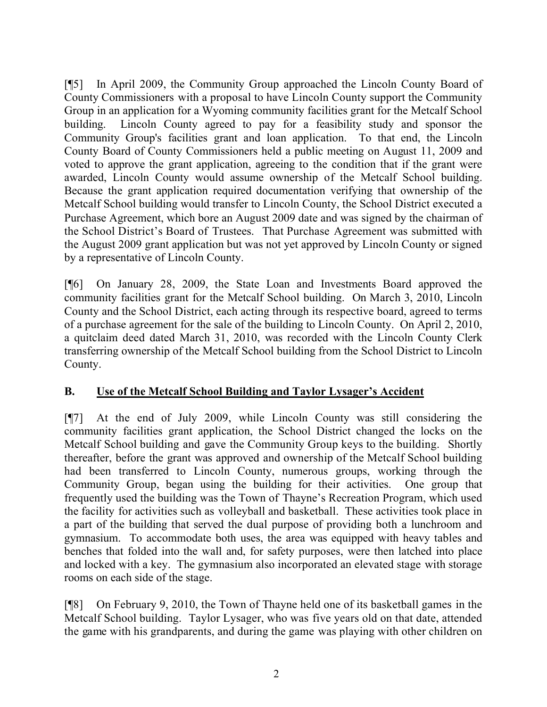[¶5] In April 2009, the Community Group approached the Lincoln County Board of County Commissioners with a proposal to have Lincoln County support the Community Group in an application for a Wyoming community facilities grant for the Metcalf School building. Lincoln County agreed to pay for a feasibility study and sponsor the Community Group's facilities grant and loan application. To that end, the Lincoln County Board of County Commissioners held a public meeting on August 11, 2009 and voted to approve the grant application, agreeing to the condition that if the grant were awarded, Lincoln County would assume ownership of the Metcalf School building. Because the grant application required documentation verifying that ownership of the Metcalf School building would transfer to Lincoln County, the School District executed a Purchase Agreement, which bore an August 2009 date and was signed by the chairman of the School District's Board of Trustees. That Purchase Agreement was submitted with the August 2009 grant application but was not yet approved by Lincoln County or signed by a representative of Lincoln County.

[¶6] On January 28, 2009, the State Loan and Investments Board approved the community facilities grant for the Metcalf School building. On March 3, 2010, Lincoln County and the School District, each acting through its respective board, agreed to terms of a purchase agreement for the sale of the building to Lincoln County. On April 2, 2010, a quitclaim deed dated March 31, 2010, was recorded with the Lincoln County Clerk transferring ownership of the Metcalf School building from the School District to Lincoln County.

# **B. Use of the Metcalf School Building and Taylor Lysager's Accident**

[¶7] At the end of July 2009, while Lincoln County was still considering the community facilities grant application, the School District changed the locks on the Metcalf School building and gave the Community Group keys to the building. Shortly thereafter, before the grant was approved and ownership of the Metcalf School building had been transferred to Lincoln County, numerous groups, working through the Community Group, began using the building for their activities. One group that frequently used the building was the Town of Thayne's Recreation Program, which used the facility for activities such as volleyball and basketball. These activities took place in a part of the building that served the dual purpose of providing both a lunchroom and gymnasium. To accommodate both uses, the area was equipped with heavy tables and benches that folded into the wall and, for safety purposes, were then latched into place and locked with a key. The gymnasium also incorporated an elevated stage with storage rooms on each side of the stage.

[¶8] On February 9, 2010, the Town of Thayne held one of its basketball games in the Metcalf School building. Taylor Lysager, who was five years old on that date, attended the game with his grandparents, and during the game was playing with other children on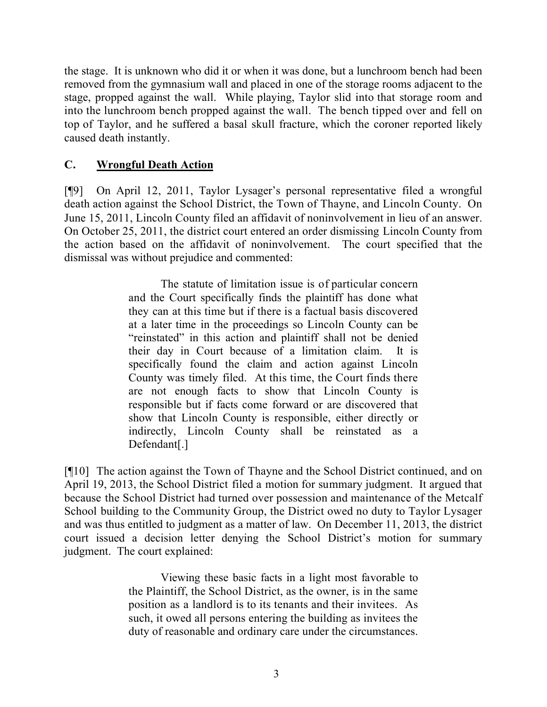the stage. It is unknown who did it or when it was done, but a lunchroom bench had been removed from the gymnasium wall and placed in one of the storage rooms adjacent to the stage, propped against the wall. While playing, Taylor slid into that storage room and into the lunchroom bench propped against the wall. The bench tipped over and fell on top of Taylor, and he suffered a basal skull fracture, which the coroner reported likely caused death instantly.

# **C. Wrongful Death Action**

[¶9] On April 12, 2011, Taylor Lysager's personal representative filed a wrongful death action against the School District, the Town of Thayne, and Lincoln County. On June 15, 2011, Lincoln County filed an affidavit of noninvolvement in lieu of an answer. On October 25, 2011, the district court entered an order dismissing Lincoln County from the action based on the affidavit of noninvolvement. The court specified that the dismissal was without prejudice and commented:

> The statute of limitation issue is of particular concern and the Court specifically finds the plaintiff has done what they can at this time but if there is a factual basis discovered at a later time in the proceedings so Lincoln County can be "reinstated" in this action and plaintiff shall not be denied their day in Court because of a limitation claim. It is specifically found the claim and action against Lincoln County was timely filed. At this time, the Court finds there are not enough facts to show that Lincoln County is responsible but if facts come forward or are discovered that show that Lincoln County is responsible, either directly or indirectly, Lincoln County shall be reinstated as a Defendant[.]

[¶10] The action against the Town of Thayne and the School District continued, and on April 19, 2013, the School District filed a motion for summary judgment. It argued that because the School District had turned over possession and maintenance of the Metcalf School building to the Community Group, the District owed no duty to Taylor Lysager and was thus entitled to judgment as a matter of law. On December 11, 2013, the district court issued a decision letter denying the School District's motion for summary judgment. The court explained:

> Viewing these basic facts in a light most favorable to the Plaintiff, the School District, as the owner, is in the same position as a landlord is to its tenants and their invitees. As such, it owed all persons entering the building as invitees the duty of reasonable and ordinary care under the circumstances.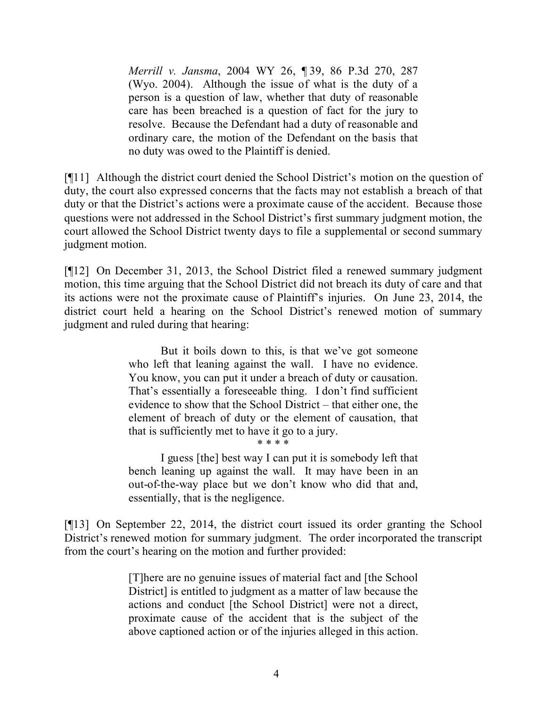*Merrill v. Jansma*, 2004 WY 26, ¶ 39, 86 P.3d 270, 287 (Wyo. 2004). Although the issue of what is the duty of a person is a question of law, whether that duty of reasonable care has been breached is a question of fact for the jury to resolve. Because the Defendant had a duty of reasonable and ordinary care, the motion of the Defendant on the basis that no duty was owed to the Plaintiff is denied.

[¶11] Although the district court denied the School District's motion on the question of duty, the court also expressed concerns that the facts may not establish a breach of that duty or that the District's actions were a proximate cause of the accident. Because those questions were not addressed in the School District's first summary judgment motion, the court allowed the School District twenty days to file a supplemental or second summary judgment motion.

[¶12] On December 31, 2013, the School District filed a renewed summary judgment motion, this time arguing that the School District did not breach its duty of care and that its actions were not the proximate cause of Plaintiff's injuries. On June 23, 2014, the district court held a hearing on the School District's renewed motion of summary judgment and ruled during that hearing:

> But it boils down to this, is that we've got someone who left that leaning against the wall. I have no evidence. You know, you can put it under a breach of duty or causation. That's essentially a foreseeable thing. I don't find sufficient evidence to show that the School District – that either one, the element of breach of duty or the element of causation, that that is sufficiently met to have it go to a jury.

\* \* \* \*

I guess [the] best way I can put it is somebody left that bench leaning up against the wall. It may have been in an out-of-the-way place but we don't know who did that and, essentially, that is the negligence.

[¶13] On September 22, 2014, the district court issued its order granting the School District's renewed motion for summary judgment. The order incorporated the transcript from the court's hearing on the motion and further provided:

> [T]here are no genuine issues of material fact and [the School District] is entitled to judgment as a matter of law because the actions and conduct [the School District] were not a direct, proximate cause of the accident that is the subject of the above captioned action or of the injuries alleged in this action.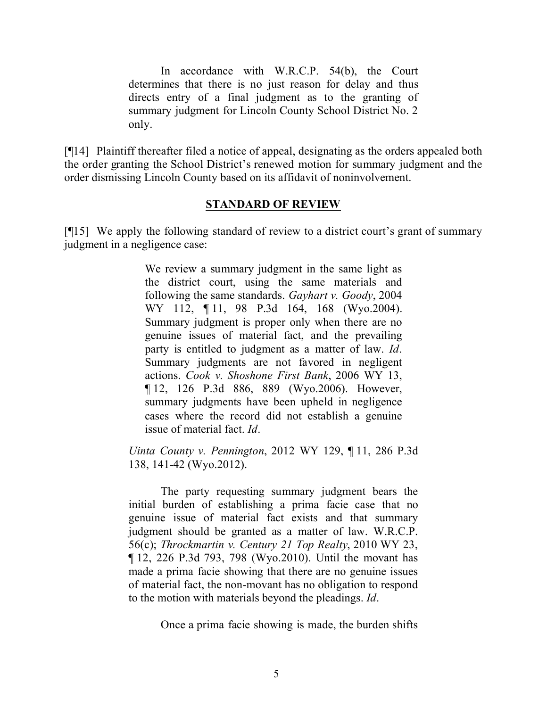In accordance with W.R.C.P. 54(b), the Court determines that there is no just reason for delay and thus directs entry of a final judgment as to the granting of summary judgment for Lincoln County School District No. 2 only.

[¶14] Plaintiff thereafter filed a notice of appeal, designating as the orders appealed both the order granting the School District's renewed motion for summary judgment and the order dismissing Lincoln County based on its affidavit of noninvolvement.

#### **STANDARD OF REVIEW**

[¶15] We apply the following standard of review to a district court's grant of summary judgment in a negligence case:

> We review a summary judgment in the same light as the district court, using the same materials and following the same standards. *Gayhart v. Goody*, 2004 WY 112, ¶ 11, 98 P.3d 164, 168 (Wyo.2004). Summary judgment is proper only when there are no genuine issues of material fact, and the prevailing party is entitled to judgment as a matter of law. *Id*. Summary judgments are not favored in negligent actions. *Cook v. Shoshone First Bank*, 2006 WY 13, ¶ 12, 126 P.3d 886, 889 (Wyo.2006). However, summary judgments have been upheld in negligence cases where the record did not establish a genuine issue of material fact. *Id*.

*Uinta County v. Pennington*, 2012 WY 129, ¶ 11, 286 P.3d 138, 141-42 (Wyo.2012).

The party requesting summary judgment bears the initial burden of establishing a prima facie case that no genuine issue of material fact exists and that summary judgment should be granted as a matter of law. W.R.C.P. 56(c); *Throckmartin v. Century 21 Top Realty*, 2010 WY 23, ¶ 12, 226 P.3d 793, 798 (Wyo.2010). Until the movant has made a prima facie showing that there are no genuine issues of material fact, the non-movant has no obligation to respond to the motion with materials beyond the pleadings. *Id*.

Once a prima facie showing is made, the burden shifts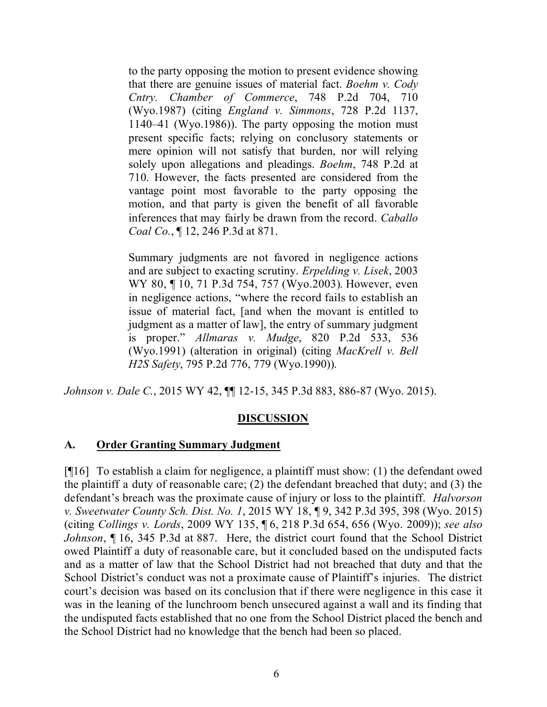to the party opposing the motion to present evidence showing that there are genuine issues of material fact. *Boehm v. Cody Cntry. Chamber of Commerce*, 748 P.2d 704, 710 (Wyo.1987) (citing *England v. Simmons*, 728 P.2d 1137, 1140–41 (Wyo.1986)). The party opposing the motion must present specific facts; relying on conclusory statements or mere opinion will not satisfy that burden, nor will relying solely upon allegations and pleadings. *Boehm*, 748 P.2d at 710. However, the facts presented are considered from the vantage point most favorable to the party opposing the motion, and that party is given the benefit of all favorable inferences that may fairly be drawn from the record. *Caballo Coal Co.*, ¶ 12, 246 P.3d at 871.

Summary judgments are not favored in negligence actions and are subject to exacting scrutiny. *Erpelding v. Lisek*, 2003 WY 80, ¶ 10, 71 P.3d 754, 757 (Wyo.2003). However, even in negligence actions, "where the record fails to establish an issue of material fact, [and when the movant is entitled to judgment as a matter of law], the entry of summary judgment is proper." *Allmaras v. Mudge*, 820 P.2d 533, 536 (Wyo.1991) (alteration in original) (citing *MacKrell v. Bell H2S Safety*, 795 P.2d 776, 779 (Wyo.1990)).

*Johnson v. Dale C.*, 2015 WY 42, ¶¶ 12-15, 345 P.3d 883, 886-87 (Wyo. 2015).

# **DISCUSSION**

#### **A. Order Granting Summary Judgment**

[¶16] To establish a claim for negligence, a plaintiff must show: (1) the defendant owed the plaintiff a duty of reasonable care; (2) the defendant breached that duty; and (3) the defendant's breach was the proximate cause of injury or loss to the plaintiff. *Halvorson v. Sweetwater County Sch. Dist. No. 1*, 2015 WY 18, ¶ 9, 342 P.3d 395, 398 (Wyo. 2015) (citing *Collings v. Lords*, 2009 WY 135, ¶ 6, 218 P.3d 654, 656 (Wyo. 2009)); *see also Johnson*, ¶ 16, 345 P.3d at 887. Here, the district court found that the School District owed Plaintiff a duty of reasonable care, but it concluded based on the undisputed facts and as a matter of law that the School District had not breached that duty and that the School District's conduct was not a proximate cause of Plaintiff's injuries. The district court's decision was based on its conclusion that if there were negligence in this case it was in the leaning of the lunchroom bench unsecured against a wall and its finding that the undisputed facts established that no one from the School District placed the bench and the School District had no knowledge that the bench had been so placed.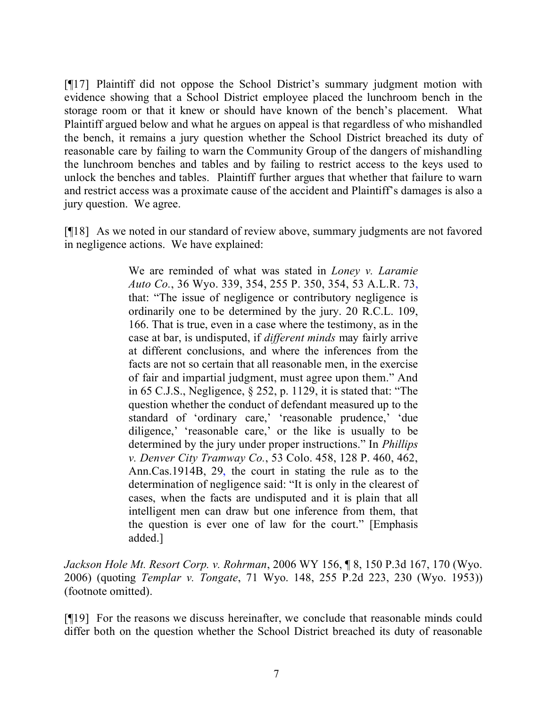[¶17] Plaintiff did not oppose the School District's summary judgment motion with evidence showing that a School District employee placed the lunchroom bench in the storage room or that it knew or should have known of the bench's placement. What Plaintiff argued below and what he argues on appeal is that regardless of who mishandled the bench, it remains a jury question whether the School District breached its duty of reasonable care by failing to warn the Community Group of the dangers of mishandling the lunchroom benches and tables and by failing to restrict access to the keys used to unlock the benches and tables. Plaintiff further argues that whether that failure to warn and restrict access was a proximate cause of the accident and Plaintiff's damages is also a jury question. We agree.

[¶18] As we noted in our standard of review above, summary judgments are not favored in negligence actions. We have explained:

> We are reminded of what was stated in *Loney v. Laramie Auto Co.*, 36 Wyo. 339, 354, 255 P. 350, 354, 53 A.L.R. 73, that: "The issue of negligence or contributory negligence is ordinarily one to be determined by the jury. 20 R.C.L. 109, 166. That is true, even in a case where the testimony, as in the case at bar, is undisputed, if *different minds* may fairly arrive at different conclusions, and where the inferences from the facts are not so certain that all reasonable men, in the exercise of fair and impartial judgment, must agree upon them." And in 65 C.J.S., Negligence, § 252, p. 1129, it is stated that: "The question whether the conduct of defendant measured up to the standard of 'ordinary care,' 'reasonable prudence,' 'due diligence,' 'reasonable care,' or the like is usually to be determined by the jury under proper instructions." In *Phillips v. Denver City Tramway Co.*, 53 Colo. 458, 128 P. 460, 462, Ann.Cas.1914B, 29, the court in stating the rule as to the determination of negligence said: "It is only in the clearest of cases, when the facts are undisputed and it is plain that all intelligent men can draw but one inference from them, that the question is ever one of law for the court." [Emphasis added.]

*Jackson Hole Mt. Resort Corp. v. Rohrman*, 2006 WY 156, ¶ 8, 150 P.3d 167, 170 (Wyo. 2006) (quoting *Templar v. Tongate*, 71 Wyo. 148, 255 P.2d 223, 230 (Wyo. 1953)) (footnote omitted).

[¶19] For the reasons we discuss hereinafter, we conclude that reasonable minds could differ both on the question whether the School District breached its duty of reasonable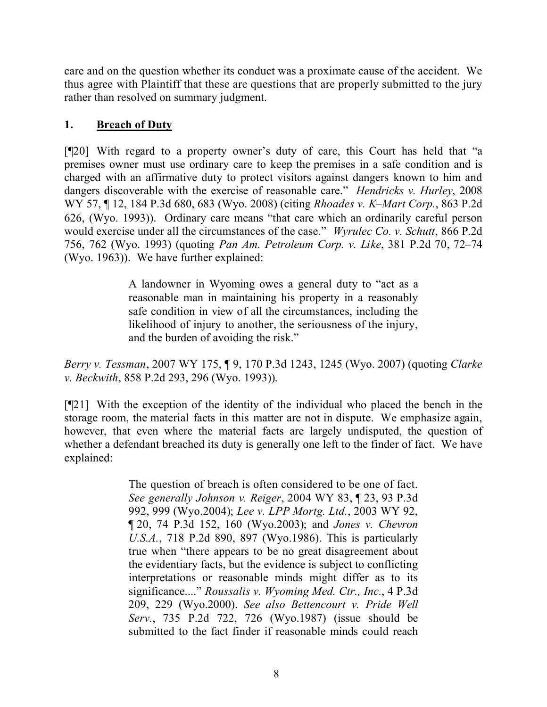care and on the question whether its conduct was a proximate cause of the accident. We thus agree with Plaintiff that these are questions that are properly submitted to the jury rather than resolved on summary judgment.

# **1. Breach of Duty**

[¶20] With regard to a property owner's duty of care, this Court has held that "a premises owner must use ordinary care to keep the premises in a safe condition and is charged with an affirmative duty to protect visitors against dangers known to him and dangers discoverable with the exercise of reasonable care." *Hendricks v. Hurley*, 2008 WY 57, ¶ 12, 184 P.3d 680, 683 (Wyo. 2008) (citing *Rhoades v. K–Mart Corp.*, 863 P.2d 626, (Wyo. 1993)). Ordinary care means "that care which an ordinarily careful person would exercise under all the circumstances of the case." *Wyrulec Co. v. Schutt*, 866 P.2d 756, 762 (Wyo. 1993) (quoting *Pan Am. Petroleum Corp. v. Like*, 381 P.2d 70, 72–74 (Wyo. 1963)). We have further explained:

> A landowner in Wyoming owes a general duty to "act as a reasonable man in maintaining his property in a reasonably safe condition in view of all the circumstances, including the likelihood of injury to another, the seriousness of the injury, and the burden of avoiding the risk."

*Berry v. Tessman*, 2007 WY 175, ¶ 9, 170 P.3d 1243, 1245 (Wyo. 2007) (quoting *Clarke v. Beckwith*, 858 P.2d 293, 296 (Wyo. 1993)).

[¶21] With the exception of the identity of the individual who placed the bench in the storage room, the material facts in this matter are not in dispute. We emphasize again, however, that even where the material facts are largely undisputed, the question of whether a defendant breached its duty is generally one left to the finder of fact. We have explained:

> The question of breach is often considered to be one of fact. *See generally Johnson v. Reiger*, 2004 WY 83, ¶ 23, 93 P.3d 992, 999 (Wyo.2004); *Lee v. LPP Mortg. Ltd.*, 2003 WY 92, ¶ 20, 74 P.3d 152, 160 (Wyo.2003); and *Jones v. Chevron U.S.A.*, 718 P.2d 890, 897 (Wyo.1986). This is particularly true when "there appears to be no great disagreement about the evidentiary facts, but the evidence is subject to conflicting interpretations or reasonable minds might differ as to its significance...." *Roussalis v. Wyoming Med. Ctr., Inc.*, 4 P.3d 209, 229 (Wyo.2000). *See also Bettencourt v. Pride Well Serv.*, 735 P.2d 722, 726 (Wyo.1987) (issue should be submitted to the fact finder if reasonable minds could reach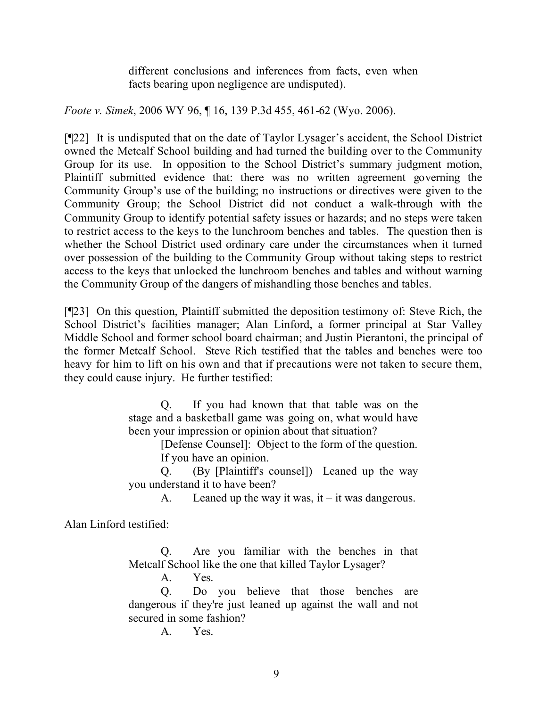different conclusions and inferences from facts, even when facts bearing upon negligence are undisputed).

*Foote v. Simek*, 2006 WY 96, ¶ 16, 139 P.3d 455, 461-62 (Wyo. 2006).

[¶22] It is undisputed that on the date of Taylor Lysager's accident, the School District owned the Metcalf School building and had turned the building over to the Community Group for its use. In opposition to the School District's summary judgment motion, Plaintiff submitted evidence that: there was no written agreement governing the Community Group's use of the building; no instructions or directives were given to the Community Group; the School District did not conduct a walk-through with the Community Group to identify potential safety issues or hazards; and no steps were taken to restrict access to the keys to the lunchroom benches and tables. The question then is whether the School District used ordinary care under the circumstances when it turned over possession of the building to the Community Group without taking steps to restrict access to the keys that unlocked the lunchroom benches and tables and without warning the Community Group of the dangers of mishandling those benches and tables.

[¶23] On this question, Plaintiff submitted the deposition testimony of: Steve Rich, the School District's facilities manager; Alan Linford, a former principal at Star Valley Middle School and former school board chairman; and Justin Pierantoni, the principal of the former Metcalf School. Steve Rich testified that the tables and benches were too heavy for him to lift on his own and that if precautions were not taken to secure them, they could cause injury. He further testified:

> Q. If you had known that that table was on the stage and a basketball game was going on, what would have been your impression or opinion about that situation?

[Defense Counsel]: Object to the form of the question. If you have an opinion.

Q. (By [Plaintiff's counsel]) Leaned up the way you understand it to have been?

A. Leaned up the way it was, it  $-$  it was dangerous.

Alan Linford testified:

Q. Are you familiar with the benches in that Metcalf School like the one that killed Taylor Lysager?

A. Yes.

Q. Do you believe that those benches are dangerous if they're just leaned up against the wall and not secured in some fashion?

A. Yes.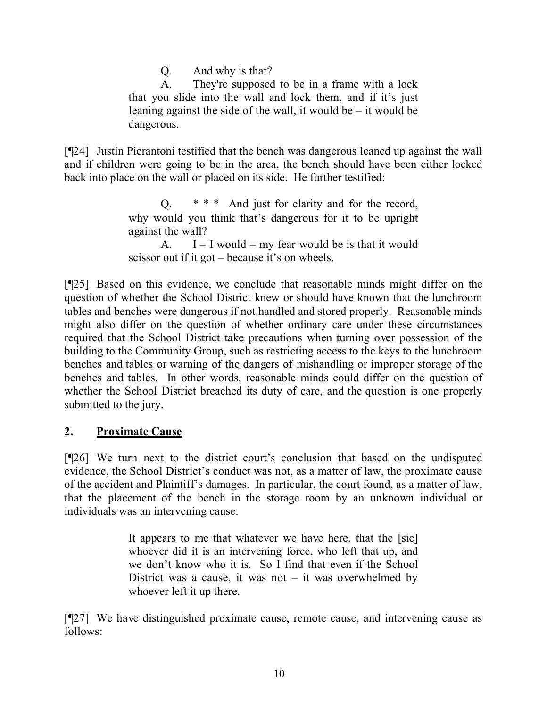Q. And why is that?

A. They're supposed to be in a frame with a lock that you slide into the wall and lock them, and if it's just leaning against the side of the wall, it would be – it would be dangerous.

[¶24] Justin Pierantoni testified that the bench was dangerous leaned up against the wall and if children were going to be in the area, the bench should have been either locked back into place on the wall or placed on its side. He further testified:

> Q. \* \* \* And just for clarity and for the record, why would you think that's dangerous for it to be upright against the wall? A.  $I - I$  would – my fear would be is that it would scissor out if it got – because it's on wheels.

[¶25] Based on this evidence, we conclude that reasonable minds might differ on the question of whether the School District knew or should have known that the lunchroom tables and benches were dangerous if not handled and stored properly. Reasonable minds might also differ on the question of whether ordinary care under these circumstances required that the School District take precautions when turning over possession of the building to the Community Group, such as restricting access to the keys to the lunchroom benches and tables or warning of the dangers of mishandling or improper storage of the benches and tables. In other words, reasonable minds could differ on the question of whether the School District breached its duty of care, and the question is one properly submitted to the jury.

# **2. Proximate Cause**

[¶26] We turn next to the district court's conclusion that based on the undisputed evidence, the School District's conduct was not, as a matter of law, the proximate cause of the accident and Plaintiff's damages. In particular, the court found, as a matter of law, that the placement of the bench in the storage room by an unknown individual or individuals was an intervening cause:

> It appears to me that whatever we have here, that the [sic] whoever did it is an intervening force, who left that up, and we don't know who it is. So I find that even if the School District was a cause, it was not  $-$  it was overwhelmed by whoever left it up there.

[¶27] We have distinguished proximate cause, remote cause, and intervening cause as follows: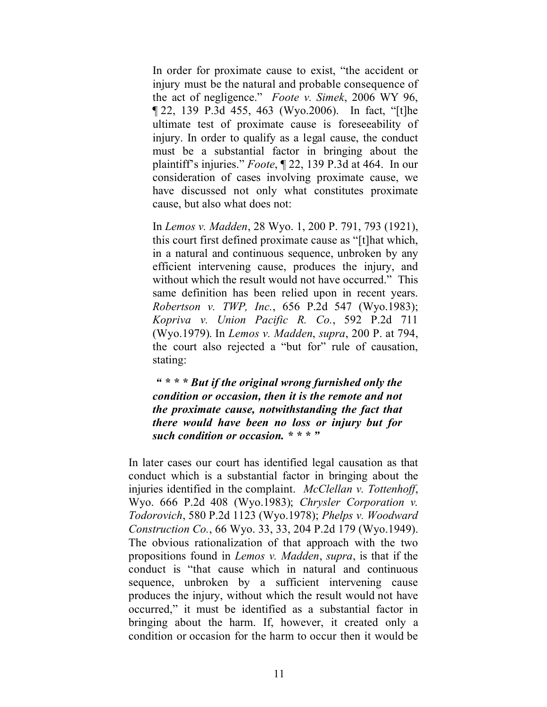In order for proximate cause to exist, "the accident or injury must be the natural and probable consequence of the act of negligence." *Foote v. Simek*, 2006 WY 96, ¶ 22, 139 P.3d 455, 463 (Wyo.2006). In fact, "[t]he ultimate test of proximate cause is foreseeability of injury. In order to qualify as a legal cause, the conduct must be a substantial factor in bringing about the plaintiff's injuries." *Foote*, ¶ 22, 139 P.3d at 464. In our consideration of cases involving proximate cause, we have discussed not only what constitutes proximate cause, but also what does not:

In *Lemos v. Madden*, 28 Wyo. 1, 200 P. 791, 793 (1921), this court first defined proximate cause as "[t]hat which, in a natural and continuous sequence, unbroken by any efficient intervening cause, produces the injury, and without which the result would not have occurred." This same definition has been relied upon in recent years. *Robertson v. TWP, Inc.*, 656 P.2d 547 (Wyo.1983); *Kopriva v. Union Pacific R. Co.*, 592 P.2d 711 (Wyo.1979). In *Lemos v. Madden*, *supra*, 200 P. at 794, the court also rejected a "but for" rule of causation, stating:

*" \* \* \* But if the original wrong furnished only the condition or occasion, then it is the remote and not the proximate cause, notwithstanding the fact that there would have been no loss or injury but for such condition or occasion. \* \* \* "*

In later cases our court has identified legal causation as that conduct which is a substantial factor in bringing about the injuries identified in the complaint. *McClellan v. Tottenhoff*, Wyo. 666 P.2d 408 (Wyo.1983); *Chrysler Corporation v. Todorovich*, 580 P.2d 1123 (Wyo.1978); *Phelps v. Woodward Construction Co.*, 66 Wyo. 33, 33, 204 P.2d 179 (Wyo.1949). The obvious rationalization of that approach with the two propositions found in *Lemos v. Madden*, *supra*, is that if the conduct is "that cause which in natural and continuous sequence, unbroken by a sufficient intervening cause produces the injury, without which the result would not have occurred," it must be identified as a substantial factor in bringing about the harm. If, however, it created only a condition or occasion for the harm to occur then it would be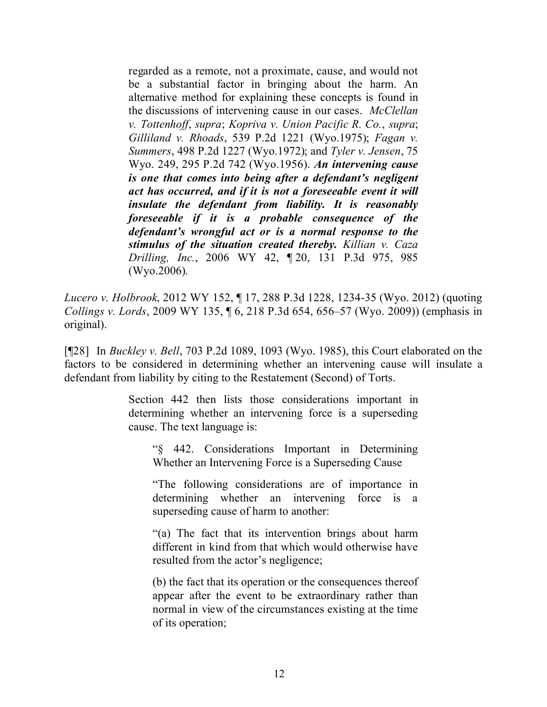regarded as a remote, not a proximate, cause, and would not be a substantial factor in bringing about the harm. An alternative method for explaining these concepts is found in the discussions of intervening cause in our cases. *McClellan v. Tottenhoff*, *supra*; *Kopriva v. Union Pacific R. Co.*, *supra*; *Gilliland v. Rhoads*, 539 P.2d 1221 (Wyo.1975); *Fagan v. Summers*, 498 P.2d 1227 (Wyo.1972); and *Tyler v. Jensen*, 75 Wyo. 249, 295 P.2d 742 (Wyo.1956). *An intervening cause is one that comes into being after a defendant's negligent act has occurred, and if it is not a foreseeable event it will insulate the defendant from liability. It is reasonably foreseeable if it is a probable consequence of the defendant's wrongful act or is a normal response to the stimulus of the situation created thereby. Killian v. Caza Drilling, Inc.*, 2006 WY 42, ¶ 20, 131 P.3d 975, 985 (Wyo.2006).

*Lucero v. Holbrook*, 2012 WY 152, ¶ 17, 288 P.3d 1228, 1234-35 (Wyo. 2012) (quoting *Collings v. Lords*, 2009 WY 135, ¶ 6, 218 P.3d 654, 656–57 (Wyo. 2009)) (emphasis in original).

[¶28] In *Buckley v. Bell*, 703 P.2d 1089, 1093 (Wyo. 1985), this Court elaborated on the factors to be considered in determining whether an intervening cause will insulate a defendant from liability by citing to the Restatement (Second) of Torts.

> Section 442 then lists those considerations important in determining whether an intervening force is a superseding cause. The text language is:

"§ 442. Considerations Important in Determining Whether an Intervening Force is a Superseding Cause

"The following considerations are of importance in determining whether an intervening force is a superseding cause of harm to another:

"(a) The fact that its intervention brings about harm different in kind from that which would otherwise have resulted from the actor's negligence;

(b) the fact that its operation or the consequences thereof appear after the event to be extraordinary rather than normal in view of the circumstances existing at the time of its operation;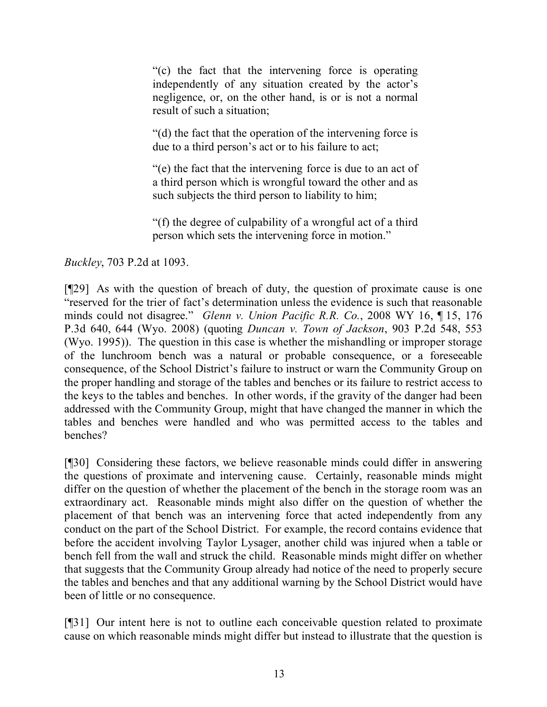"(c) the fact that the intervening force is operating independently of any situation created by the actor's negligence, or, on the other hand, is or is not a normal result of such a situation;

"(d) the fact that the operation of the intervening force is due to a third person's act or to his failure to act;

"(e) the fact that the intervening force is due to an act of a third person which is wrongful toward the other and as such subjects the third person to liability to him;

"(f) the degree of culpability of a wrongful act of a third person which sets the intervening force in motion."

*Buckley*, 703 P.2d at 1093.

[¶29] As with the question of breach of duty, the question of proximate cause is one "reserved for the trier of fact's determination unless the evidence is such that reasonable minds could not disagree." *Glenn v. Union Pacific R.R. Co.*, 2008 WY 16, ¶ 15, 176 P.3d 640, 644 (Wyo. 2008) (quoting *Duncan v. Town of Jackson*, 903 P.2d 548, 553 (Wyo. 1995)). The question in this case is whether the mishandling or improper storage of the lunchroom bench was a natural or probable consequence, or a foreseeable consequence, of the School District's failure to instruct or warn the Community Group on the proper handling and storage of the tables and benches or its failure to restrict access to the keys to the tables and benches. In other words, if the gravity of the danger had been addressed with the Community Group, might that have changed the manner in which the tables and benches were handled and who was permitted access to the tables and benches?

[¶30] Considering these factors, we believe reasonable minds could differ in answering the questions of proximate and intervening cause. Certainly, reasonable minds might differ on the question of whether the placement of the bench in the storage room was an extraordinary act. Reasonable minds might also differ on the question of whether the placement of that bench was an intervening force that acted independently from any conduct on the part of the School District. For example, the record contains evidence that before the accident involving Taylor Lysager, another child was injured when a table or bench fell from the wall and struck the child. Reasonable minds might differ on whether that suggests that the Community Group already had notice of the need to properly secure the tables and benches and that any additional warning by the School District would have been of little or no consequence.

[¶31] Our intent here is not to outline each conceivable question related to proximate cause on which reasonable minds might differ but instead to illustrate that the question is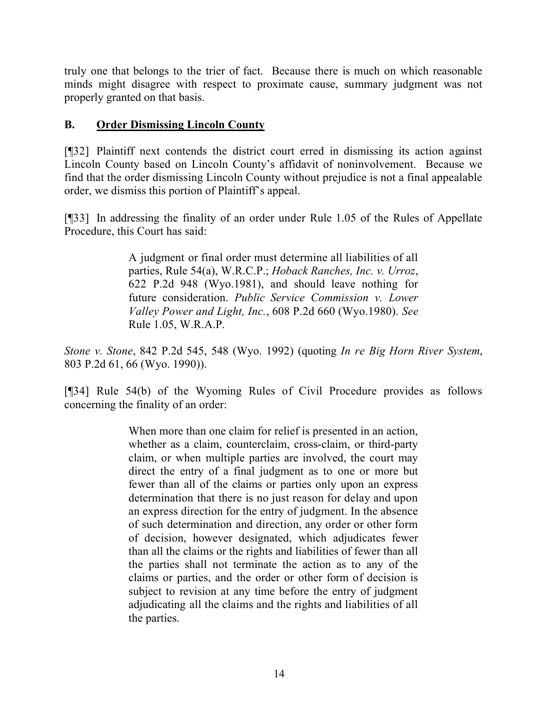truly one that belongs to the trier of fact. Because there is much on which reasonable minds might disagree with respect to proximate cause, summary judgment was not properly granted on that basis.

# **B. Order Dismissing Lincoln County**

[¶32] Plaintiff next contends the district court erred in dismissing its action against Lincoln County based on Lincoln County's affidavit of noninvolvement. Because we find that the order dismissing Lincoln County without prejudice is not a final appealable order, we dismiss this portion of Plaintiff's appeal.

[¶33] In addressing the finality of an order under Rule 1.05 of the Rules of Appellate Procedure, this Court has said:

> A judgment or final order must determine all liabilities of all parties, Rule 54(a), W.R.C.P.; *Hoback Ranches, Inc. v. Urroz*, 622 P.2d 948 (Wyo.1981), and should leave nothing for future consideration. *Public Service Commission v. Lower Valley Power and Light, Inc.*, 608 P.2d 660 (Wyo.1980). *See* Rule 1.05, W.R.A.P.

*Stone v. Stone*, 842 P.2d 545, 548 (Wyo. 1992) (quoting *In re Big Horn River System*, 803 P.2d 61, 66 (Wyo. 1990)).

[¶34] Rule 54(b) of the Wyoming Rules of Civil Procedure provides as follows concerning the finality of an order:

> When more than one claim for relief is presented in an action, whether as a claim, counterclaim, cross-claim, or third-party claim, or when multiple parties are involved, the court may direct the entry of a final judgment as to one or more but fewer than all of the claims or parties only upon an express determination that there is no just reason for delay and upon an express direction for the entry of judgment. In the absence of such determination and direction, any order or other form of decision, however designated, which adjudicates fewer than all the claims or the rights and liabilities of fewer than all the parties shall not terminate the action as to any of the claims or parties, and the order or other form of decision is subject to revision at any time before the entry of judgment adjudicating all the claims and the rights and liabilities of all the parties.